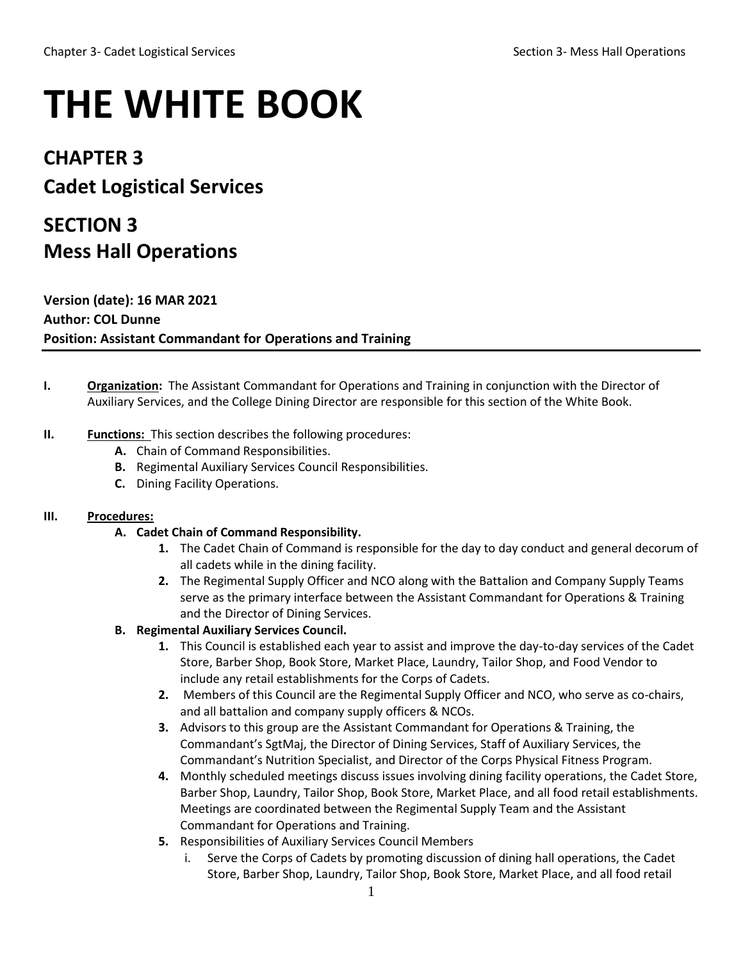# **THE WHITE BOOK**

## **CHAPTER 3 Cadet Logistical Services**

## **SECTION 3 Mess Hall Operations**

**Version (date): 16 MAR 2021 Author: COL Dunne Position: Assistant Commandant for Operations and Training**

- **I. Organization:** The Assistant Commandant for Operations and Training in conjunction with the Director of Auxiliary Services, and the College Dining Director are responsible for this section of the White Book.
- **II. Functions:** This section describes the following procedures:
	- **A.** Chain of Command Responsibilities.
	- **B.** Regimental Auxiliary Services Council Responsibilities.
	- **C.** Dining Facility Operations.

### **III. Procedures:**

- **A. Cadet Chain of Command Responsibility.**
	- **1.** The Cadet Chain of Command is responsible for the day to day conduct and general decorum of all cadets while in the dining facility.
	- **2.** The Regimental Supply Officer and NCO along with the Battalion and Company Supply Teams serve as the primary interface between the Assistant Commandant for Operations & Training and the Director of Dining Services.

### **B. Regimental Auxiliary Services Council.**

- **1.** This Council is established each year to assist and improve the day-to-day services of the Cadet Store, Barber Shop, Book Store, Market Place, Laundry, Tailor Shop, and Food Vendor to include any retail establishments for the Corps of Cadets.
- **2.** Members of this Council are the Regimental Supply Officer and NCO, who serve as co-chairs, and all battalion and company supply officers & NCOs.
- **3.** Advisors to this group are the Assistant Commandant for Operations & Training, the Commandant's SgtMaj, the Director of Dining Services, Staff of Auxiliary Services, the Commandant's Nutrition Specialist, and Director of the Corps Physical Fitness Program.
- **4.** Monthly scheduled meetings discuss issues involving dining facility operations, the Cadet Store, Barber Shop, Laundry, Tailor Shop, Book Store, Market Place, and all food retail establishments. Meetings are coordinated between the Regimental Supply Team and the Assistant Commandant for Operations and Training.
- **5.** Responsibilities of Auxiliary Services Council Members
	- i. Serve the Corps of Cadets by promoting discussion of dining hall operations, the Cadet Store, Barber Shop, Laundry, Tailor Shop, Book Store, Market Place, and all food retail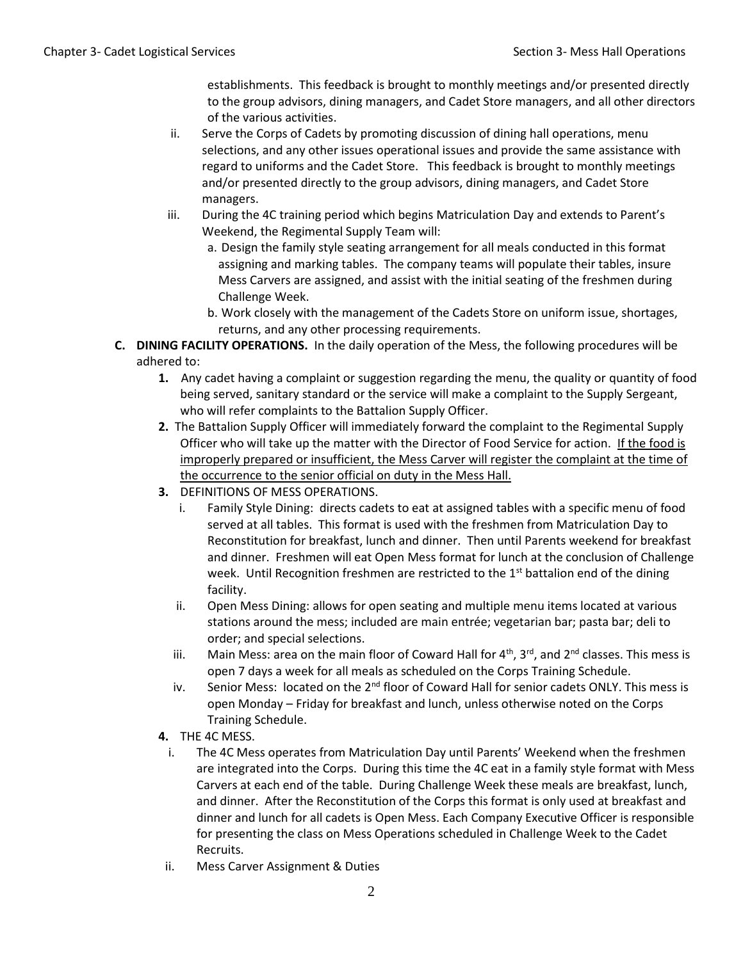establishments. This feedback is brought to monthly meetings and/or presented directly to the group advisors, dining managers, and Cadet Store managers, and all other directors of the various activities.

- ii. Serve the Corps of Cadets by promoting discussion of dining hall operations, menu selections, and any other issues operational issues and provide the same assistance with regard to uniforms and the Cadet Store. This feedback is brought to monthly meetings and/or presented directly to the group advisors, dining managers, and Cadet Store managers.
- iii. During the 4C training period which begins Matriculation Day and extends to Parent's Weekend, the Regimental Supply Team will:
	- a. Design the family style seating arrangement for all meals conducted in this format assigning and marking tables. The company teams will populate their tables, insure Mess Carvers are assigned, and assist with the initial seating of the freshmen during Challenge Week.
	- b. Work closely with the management of the Cadets Store on uniform issue, shortages, returns, and any other processing requirements.
- **C. DINING FACILITY OPERATIONS.** In the daily operation of the Mess, the following procedures will be adhered to:
	- **1.** Any cadet having a complaint or suggestion regarding the menu, the quality or quantity of food being served, sanitary standard or the service will make a complaint to the Supply Sergeant, who will refer complaints to the Battalion Supply Officer.
	- **2.** The Battalion Supply Officer will immediately forward the complaint to the Regimental Supply Officer who will take up the matter with the Director of Food Service for action. If the food is improperly prepared or insufficient, the Mess Carver will register the complaint at the time of the occurrence to the senior official on duty in the Mess Hall.
	- **3.** DEFINITIONS OF MESS OPERATIONS.
		- i. Family Style Dining: directs cadets to eat at assigned tables with a specific menu of food served at all tables. This format is used with the freshmen from Matriculation Day to Reconstitution for breakfast, lunch and dinner. Then until Parents weekend for breakfast and dinner. Freshmen will eat Open Mess format for lunch at the conclusion of Challenge week. Until Recognition freshmen are restricted to the  $1<sup>st</sup>$  battalion end of the dining facility.
		- ii. Open Mess Dining: allows for open seating and multiple menu items located at various stations around the mess; included are main entrée; vegetarian bar; pasta bar; deli to order; and special selections.
		- iii. Main Mess: area on the main floor of Coward Hall for  $4<sup>th</sup>$ ,  $3<sup>rd</sup>$ , and  $2<sup>nd</sup>$  classes. This mess is open 7 days a week for all meals as scheduled on the Corps Training Schedule.
		- iv. Senior Mess: located on the  $2<sup>nd</sup>$  floor of Coward Hall for senior cadets ONLY. This mess is open Monday – Friday for breakfast and lunch, unless otherwise noted on the Corps Training Schedule.
	- **4.** THE 4C MESS.
		- i. The 4C Mess operates from Matriculation Day until Parents' Weekend when the freshmen are integrated into the Corps. During this time the 4C eat in a family style format with Mess Carvers at each end of the table. During Challenge Week these meals are breakfast, lunch, and dinner. After the Reconstitution of the Corps this format is only used at breakfast and dinner and lunch for all cadets is Open Mess. Each Company Executive Officer is responsible for presenting the class on Mess Operations scheduled in Challenge Week to the Cadet Recruits.
	- ii. Mess Carver Assignment & Duties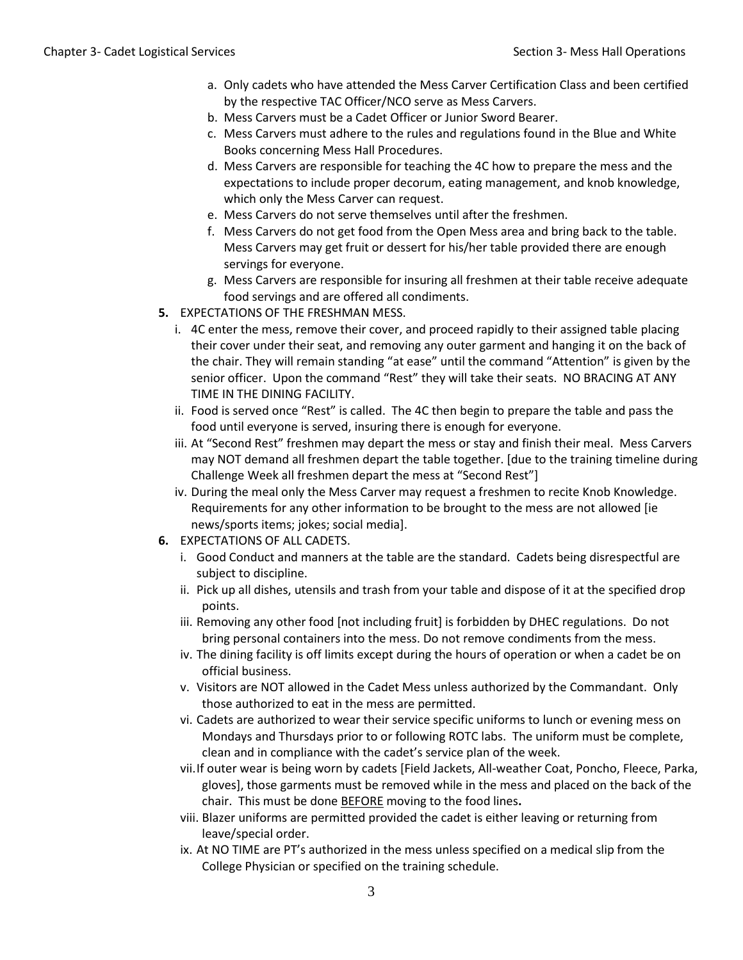- a. Only cadets who have attended the Mess Carver Certification Class and been certified by the respective TAC Officer/NCO serve as Mess Carvers.
- b. Mess Carvers must be a Cadet Officer or Junior Sword Bearer.
- c. Mess Carvers must adhere to the rules and regulations found in the Blue and White Books concerning Mess Hall Procedures.
- d. Mess Carvers are responsible for teaching the 4C how to prepare the mess and the expectations to include proper decorum, eating management, and knob knowledge, which only the Mess Carver can request.
- e. Mess Carvers do not serve themselves until after the freshmen.
- f. Mess Carvers do not get food from the Open Mess area and bring back to the table. Mess Carvers may get fruit or dessert for his/her table provided there are enough servings for everyone.
- g. Mess Carvers are responsible for insuring all freshmen at their table receive adequate food servings and are offered all condiments.
- **5.** EXPECTATIONS OF THE FRESHMAN MESS.
	- i. 4C enter the mess, remove their cover, and proceed rapidly to their assigned table placing their cover under their seat, and removing any outer garment and hanging it on the back of the chair. They will remain standing "at ease" until the command "Attention" is given by the senior officer. Upon the command "Rest" they will take their seats. NO BRACING AT ANY TIME IN THE DINING FACILITY.
	- ii. Food is served once "Rest" is called. The 4C then begin to prepare the table and pass the food until everyone is served, insuring there is enough for everyone.
	- iii. At "Second Rest" freshmen may depart the mess or stay and finish their meal. Mess Carvers may NOT demand all freshmen depart the table together. [due to the training timeline during Challenge Week all freshmen depart the mess at "Second Rest"]
	- iv. During the meal only the Mess Carver may request a freshmen to recite Knob Knowledge. Requirements for any other information to be brought to the mess are not allowed [ie news/sports items; jokes; social media].
- **6.** EXPECTATIONS OF ALL CADETS.
	- i. Good Conduct and manners at the table are the standard. Cadets being disrespectful are subject to discipline.
	- ii. Pick up all dishes, utensils and trash from your table and dispose of it at the specified drop points.
	- iii. Removing any other food [not including fruit] is forbidden by DHEC regulations. Do not bring personal containers into the mess. Do not remove condiments from the mess.
	- iv. The dining facility is off limits except during the hours of operation or when a cadet be on official business.
	- v. Visitors are NOT allowed in the Cadet Mess unless authorized by the Commandant. Only those authorized to eat in the mess are permitted.
	- vi. Cadets are authorized to wear their service specific uniforms to lunch or evening mess on Mondays and Thursdays prior to or following ROTC labs. The uniform must be complete, clean and in compliance with the cadet's service plan of the week.
	- vii.If outer wear is being worn by cadets [Field Jackets, All-weather Coat, Poncho, Fleece, Parka, gloves], those garments must be removed while in the mess and placed on the back of the chair. This must be done BEFORE moving to the food lines**.**
	- viii. Blazer uniforms are permitted provided the cadet is either leaving or returning from leave/special order.
	- ix. At NO TIME are PT's authorized in the mess unless specified on a medical slip from the College Physician or specified on the training schedule.